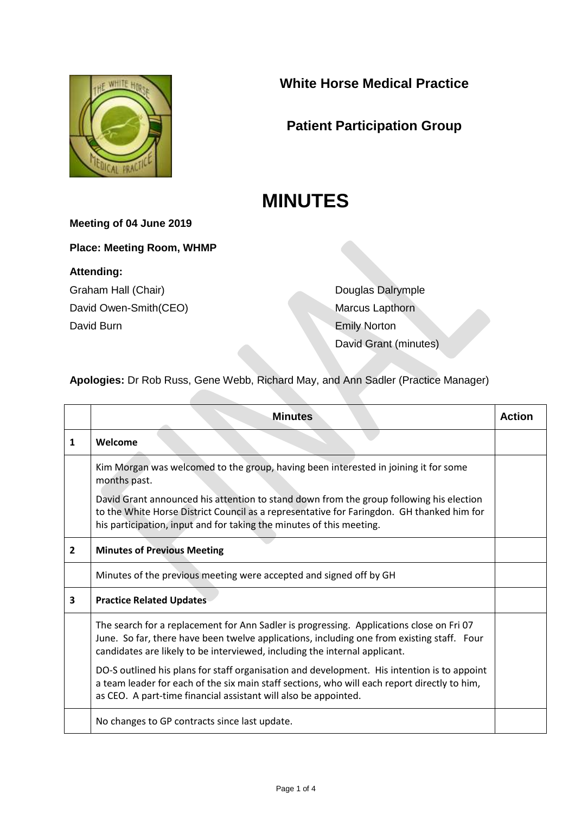

**White Horse Medical Practice**

## **Patient Participation Group**

# **MINUTES**

#### **Meeting of 04 June 2019**

**Place: Meeting Room, WHMP**

#### **Attending:**

Graham Hall (Chair) David Owen-Smith(CEO) David Burn

Douglas Dalrymple Marcus Lapthorn Emily Norton David Grant (minutes)

**Apologies:** Dr Rob Russ, Gene Webb, Richard May, and Ann Sadler (Practice Manager)

|              | <b>Minutes</b>                                                                                                                                                                                                                                                       | Action |
|--------------|----------------------------------------------------------------------------------------------------------------------------------------------------------------------------------------------------------------------------------------------------------------------|--------|
| 1            | Welcome                                                                                                                                                                                                                                                              |        |
|              | Kim Morgan was welcomed to the group, having been interested in joining it for some<br>months past.                                                                                                                                                                  |        |
|              | David Grant announced his attention to stand down from the group following his election<br>to the White Horse District Council as a representative for Faringdon. GH thanked him for<br>his participation, input and for taking the minutes of this meeting.         |        |
| $\mathbf{2}$ | <b>Minutes of Previous Meeting</b>                                                                                                                                                                                                                                   |        |
|              | Minutes of the previous meeting were accepted and signed off by GH                                                                                                                                                                                                   |        |
| 3            | <b>Practice Related Updates</b>                                                                                                                                                                                                                                      |        |
|              | The search for a replacement for Ann Sadler is progressing. Applications close on Fri 07<br>June. So far, there have been twelve applications, including one from existing staff. Four<br>candidates are likely to be interviewed, including the internal applicant. |        |
|              | DO-S outlined his plans for staff organisation and development. His intention is to appoint<br>a team leader for each of the six main staff sections, who will each report directly to him,<br>as CEO. A part-time financial assistant will also be appointed.       |        |
|              | No changes to GP contracts since last update.                                                                                                                                                                                                                        |        |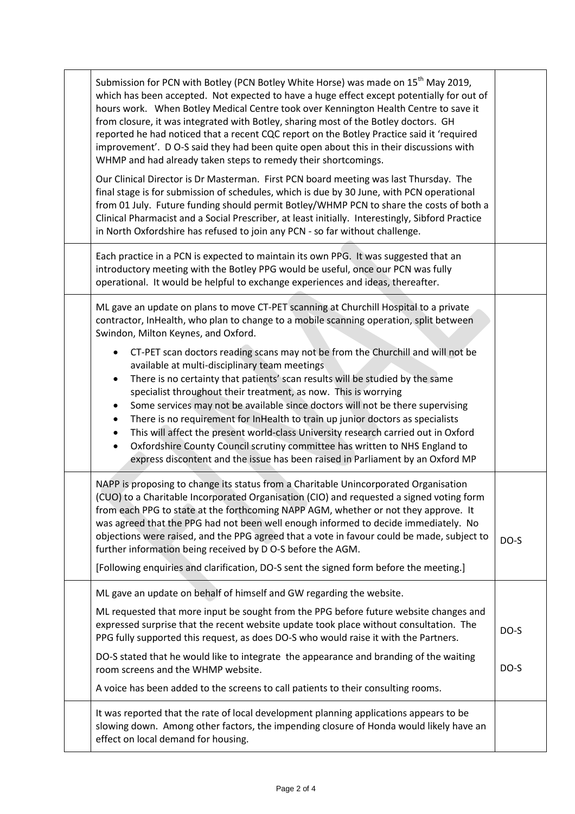|  | Submission for PCN with Botley (PCN Botley White Horse) was made on 15 <sup>th</sup> May 2019,<br>which has been accepted. Not expected to have a huge effect except potentially for out of<br>hours work. When Botley Medical Centre took over Kennington Health Centre to save it<br>from closure, it was integrated with Botley, sharing most of the Botley doctors. GH<br>reported he had noticed that a recent CQC report on the Botley Practice said it 'required<br>improvement'. D O-S said they had been quite open about this in their discussions with<br>WHMP and had already taken steps to remedy their shortcomings.                                                                                                                                                   |      |
|--|---------------------------------------------------------------------------------------------------------------------------------------------------------------------------------------------------------------------------------------------------------------------------------------------------------------------------------------------------------------------------------------------------------------------------------------------------------------------------------------------------------------------------------------------------------------------------------------------------------------------------------------------------------------------------------------------------------------------------------------------------------------------------------------|------|
|  | Our Clinical Director is Dr Masterman. First PCN board meeting was last Thursday. The<br>final stage is for submission of schedules, which is due by 30 June, with PCN operational<br>from 01 July. Future funding should permit Botley/WHMP PCN to share the costs of both a<br>Clinical Pharmacist and a Social Prescriber, at least initially. Interestingly, Sibford Practice<br>in North Oxfordshire has refused to join any PCN - so far without challenge.                                                                                                                                                                                                                                                                                                                     |      |
|  | Each practice in a PCN is expected to maintain its own PPG. It was suggested that an<br>introductory meeting with the Botley PPG would be useful, once our PCN was fully<br>operational. It would be helpful to exchange experiences and ideas, thereafter.                                                                                                                                                                                                                                                                                                                                                                                                                                                                                                                           |      |
|  | ML gave an update on plans to move CT-PET scanning at Churchill Hospital to a private<br>contractor, InHealth, who plan to change to a mobile scanning operation, split between<br>Swindon, Milton Keynes, and Oxford.                                                                                                                                                                                                                                                                                                                                                                                                                                                                                                                                                                |      |
|  | CT-PET scan doctors reading scans may not be from the Churchill and will not be<br>$\bullet$<br>available at multi-disciplinary team meetings<br>There is no certainty that patients' scan results will be studied by the same<br>$\bullet$<br>specialist throughout their treatment, as now. This is worrying<br>Some services may not be available since doctors will not be there supervising<br>$\bullet$<br>There is no requirement for InHealth to train up junior doctors as specialists<br>$\bullet$<br>This will affect the present world-class University research carried out in Oxford<br>٠<br>Oxfordshire County Council scrutiny committee has written to NHS England to<br>$\bullet$<br>express discontent and the issue has been raised in Parliament by an Oxford MP |      |
|  | NAPP is proposing to change its status from a Charitable Unincorporated Organisation<br>(CUO) to a Charitable Incorporated Organisation (CIO) and requested a signed voting form<br>from each PPG to state at the forthcoming NAPP AGM, whether or not they approve. It<br>was agreed that the PPG had not been well enough informed to decide immediately. No<br>objections were raised, and the PPG agreed that a vote in favour could be made, subject to<br>further information being received by D O-S before the AGM.                                                                                                                                                                                                                                                           | DO-S |
|  | [Following enquiries and clarification, DO-S sent the signed form before the meeting.]                                                                                                                                                                                                                                                                                                                                                                                                                                                                                                                                                                                                                                                                                                |      |
|  | ML gave an update on behalf of himself and GW regarding the website.                                                                                                                                                                                                                                                                                                                                                                                                                                                                                                                                                                                                                                                                                                                  |      |
|  | ML requested that more input be sought from the PPG before future website changes and<br>expressed surprise that the recent website update took place without consultation. The<br>PPG fully supported this request, as does DO-S who would raise it with the Partners.                                                                                                                                                                                                                                                                                                                                                                                                                                                                                                               | DO-S |
|  | DO-S stated that he would like to integrate the appearance and branding of the waiting<br>room screens and the WHMP website.                                                                                                                                                                                                                                                                                                                                                                                                                                                                                                                                                                                                                                                          | DO-S |
|  | A voice has been added to the screens to call patients to their consulting rooms.                                                                                                                                                                                                                                                                                                                                                                                                                                                                                                                                                                                                                                                                                                     |      |
|  | It was reported that the rate of local development planning applications appears to be<br>slowing down. Among other factors, the impending closure of Honda would likely have an<br>effect on local demand for housing.                                                                                                                                                                                                                                                                                                                                                                                                                                                                                                                                                               |      |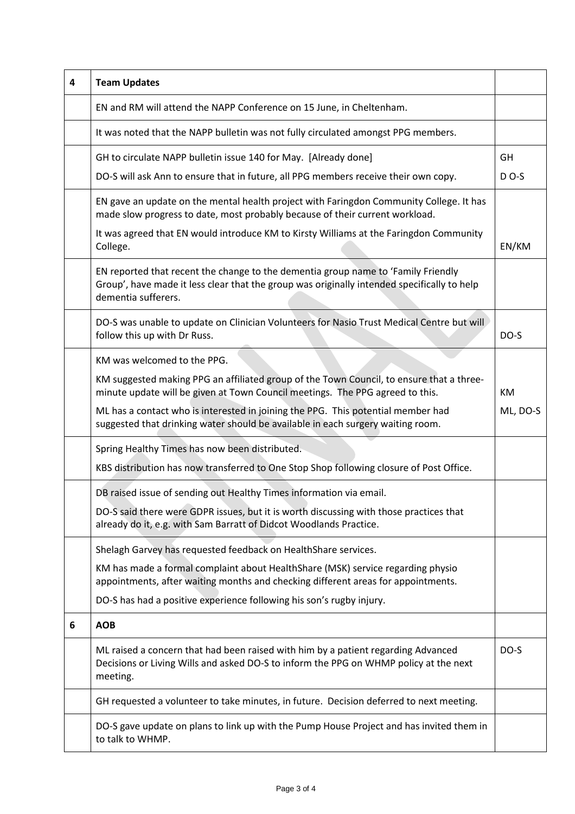| 4 | <b>Team Updates</b>                                                                                                                                                                                     |          |
|---|---------------------------------------------------------------------------------------------------------------------------------------------------------------------------------------------------------|----------|
|   | EN and RM will attend the NAPP Conference on 15 June, in Cheltenham.                                                                                                                                    |          |
|   | It was noted that the NAPP bulletin was not fully circulated amongst PPG members.                                                                                                                       |          |
|   | GH to circulate NAPP bulletin issue 140 for May. [Already done]                                                                                                                                         | GH       |
|   | DO-S will ask Ann to ensure that in future, all PPG members receive their own copy.                                                                                                                     | $D$ O-S  |
|   | EN gave an update on the mental health project with Faringdon Community College. It has<br>made slow progress to date, most probably because of their current workload.                                 |          |
|   | It was agreed that EN would introduce KM to Kirsty Williams at the Faringdon Community<br>College.                                                                                                      | EN/KM    |
|   | EN reported that recent the change to the dementia group name to 'Family Friendly<br>Group', have made it less clear that the group was originally intended specifically to help<br>dementia sufferers. |          |
|   | DO-S was unable to update on Clinician Volunteers for Nasio Trust Medical Centre but will<br>follow this up with Dr Russ.                                                                               | DO-S     |
|   | KM was welcomed to the PPG.                                                                                                                                                                             |          |
|   | KM suggested making PPG an affiliated group of the Town Council, to ensure that a three-<br>minute update will be given at Town Council meetings. The PPG agreed to this.                               | KM       |
|   | ML has a contact who is interested in joining the PPG. This potential member had<br>suggested that drinking water should be available in each surgery waiting room.                                     | ML, DO-S |
|   | Spring Healthy Times has now been distributed.                                                                                                                                                          |          |
|   | KBS distribution has now transferred to One Stop Shop following closure of Post Office.                                                                                                                 |          |
|   | DB raised issue of sending out Healthy Times information via email.                                                                                                                                     |          |
|   | DO-S said there were GDPR issues, but it is worth discussing with those practices that<br>already do it, e.g. with Sam Barratt of Didcot Woodlands Practice.                                            |          |
|   | Shelagh Garvey has requested feedback on HealthShare services.                                                                                                                                          |          |
|   | KM has made a formal complaint about HealthShare (MSK) service regarding physio<br>appointments, after waiting months and checking different areas for appointments.                                    |          |
|   | DO-S has had a positive experience following his son's rugby injury.                                                                                                                                    |          |
| 6 | <b>AOB</b>                                                                                                                                                                                              |          |
|   | ML raised a concern that had been raised with him by a patient regarding Advanced<br>Decisions or Living Wills and asked DO-S to inform the PPG on WHMP policy at the next<br>meeting.                  | DO-S     |
|   | GH requested a volunteer to take minutes, in future. Decision deferred to next meeting.                                                                                                                 |          |
|   | DO-S gave update on plans to link up with the Pump House Project and has invited them in<br>to talk to WHMP.                                                                                            |          |